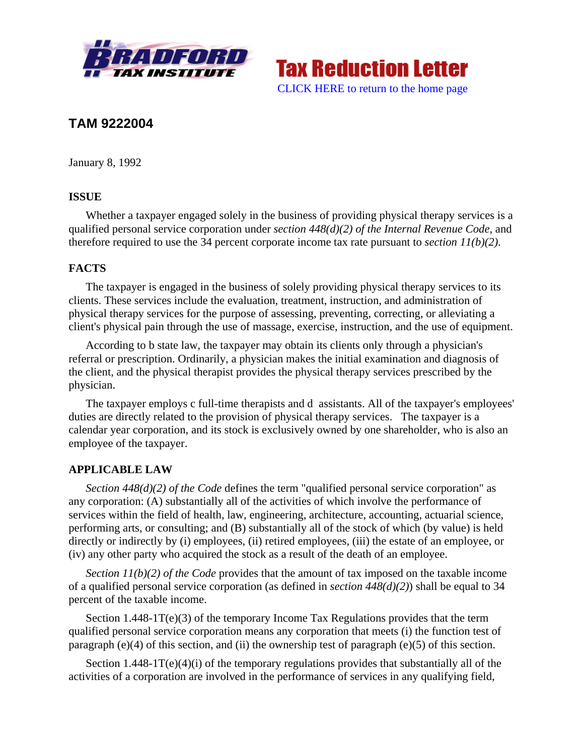



# **TAM 9222004**

January 8, 1992

# **ISSUE**

Whether a taxpayer engaged solely in the business of providing physical therapy services is a qualified personal service corporation under *section 448(d)(2) of the Internal Revenue Code*, and therefore required to use the 34 percent corporate income tax rate pursuant to *section 11(b)(2)*.

# **FACTS**

The taxpayer is engaged in the business of solely providing physical therapy services to its clients. These services include the evaluation, treatment, instruction, and administration of physical therapy services for the purpose of assessing, preventing, correcting, or alleviating a client's physical pain through the use of massage, exercise, instruction, and the use of equipment.

According to b state law, the taxpayer may obtain its clients only through a physician's referral or prescription. Ordinarily, a physician makes the initial examination and diagnosis of the client, and the physical therapist provides the physical therapy services prescribed by the physician.

The taxpayer employs c full-time therapists and d assistants. All of the taxpayer's employees' duties are directly related to the provision of physical therapy services. The taxpayer is a calendar year corporation, and its stock is exclusively owned by one shareholder, who is also an employee of the taxpayer.

# **APPLICABLE LAW**

*Section 448(d)(2) of the Code* defines the term "qualified personal service corporation" as any corporation: (A) substantially all of the activities of which involve the performance of services within the field of health, law, engineering, architecture, accounting, actuarial science, performing arts, or consulting; and (B) substantially all of the stock of which (by value) is held directly or indirectly by (i) employees, (ii) retired employees, (iii) the estate of an employee, or (iv) any other party who acquired the stock as a result of the death of an employee.

*Section 11(b)(2) of the Code* provides that the amount of tax imposed on the taxable income of a qualified personal service corporation (as defined in *section 448(d)(2)*) shall be equal to 34 percent of the taxable income.

Section 1.448-1T(e)(3) of the temporary Income Tax Regulations provides that the term qualified personal service corporation means any corporation that meets (i) the function test of paragraph (e)(4) of this section, and (ii) the ownership test of paragraph (e)(5) of this section.

Section 1.448-1T(e)(4)(i) of the temporary regulations provides that substantially all of the activities of a corporation are involved in the performance of services in any qualifying field,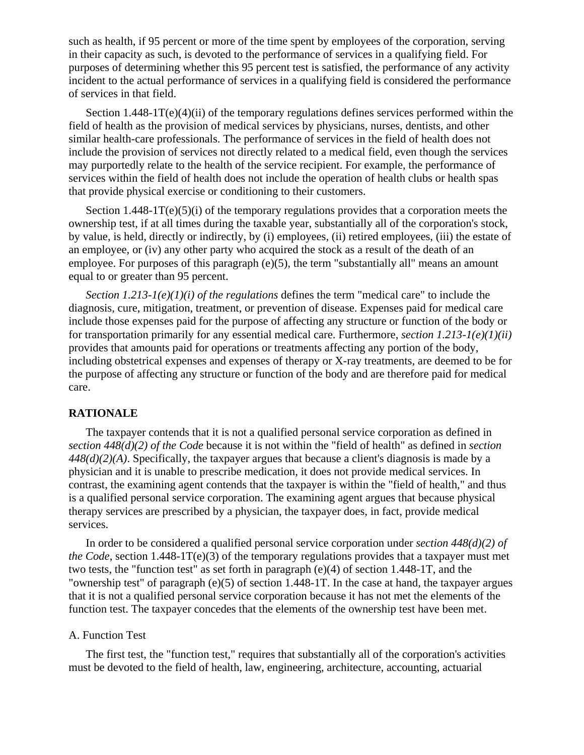such as health, if 95 percent or more of the time spent by employees of the corporation, serving in their capacity as such, is devoted to the performance of services in a qualifying field. For purposes of determining whether this 95 percent test is satisfied, the performance of any activity incident to the actual performance of services in a qualifying field is considered the performance of services in that field.

Section  $1.448 \text{-} 1 \text{T}(e)(4)(ii)$  of the temporary regulations defines services performed within the field of health as the provision of medical services by physicians, nurses, dentists, and other similar health-care professionals. The performance of services in the field of health does not include the provision of services not directly related to a medical field, even though the services may purportedly relate to the health of the service recipient. For example, the performance of services within the field of health does not include the operation of health clubs or health spas that provide physical exercise or conditioning to their customers.

Section  $1.448-1T(e)(5)(i)$  of the temporary regulations provides that a corporation meets the ownership test, if at all times during the taxable year, substantially all of the corporation's stock, by value, is held, directly or indirectly, by (i) employees, (ii) retired employees, (iii) the estate of an employee, or (iv) any other party who acquired the stock as a result of the death of an employee. For purposes of this paragraph (e)(5), the term "substantially all" means an amount equal to or greater than 95 percent.

*Section 1.213-1(e)(1)(i) of the regulations* defines the term "medical care" to include the diagnosis, cure, mitigation, treatment, or prevention of disease. Expenses paid for medical care include those expenses paid for the purpose of affecting any structure or function of the body or for transportation primarily for any essential medical care. Furthermore, *section 1.213-1(e)(1)(ii)* provides that amounts paid for operations or treatments affecting any portion of the body, including obstetrical expenses and expenses of therapy or X-ray treatments, are deemed to be for the purpose of affecting any structure or function of the body and are therefore paid for medical care.

#### **RATIONALE**

The taxpayer contends that it is not a qualified personal service corporation as defined in *section 448(d)(2) of the Code* because it is not within the "field of health" as defined in *section 448(d)(2)(A)*. Specifically, the taxpayer argues that because a client's diagnosis is made by a physician and it is unable to prescribe medication, it does not provide medical services. In contrast, the examining agent contends that the taxpayer is within the "field of health," and thus is a qualified personal service corporation. The examining agent argues that because physical therapy services are prescribed by a physician, the taxpayer does, in fact, provide medical services.

In order to be considered a qualified personal service corporation under *section 448(d)(2) of the Code*, section 1.448-1T(e)(3) of the temporary regulations provides that a taxpayer must met two tests, the "function test" as set forth in paragraph (e)(4) of section 1.448-1T, and the "ownership test" of paragraph (e)(5) of section 1.448-1T. In the case at hand, the taxpayer argues that it is not a qualified personal service corporation because it has not met the elements of the function test. The taxpayer concedes that the elements of the ownership test have been met.

### A. Function Test

The first test, the "function test," requires that substantially all of the corporation's activities must be devoted to the field of health, law, engineering, architecture, accounting, actuarial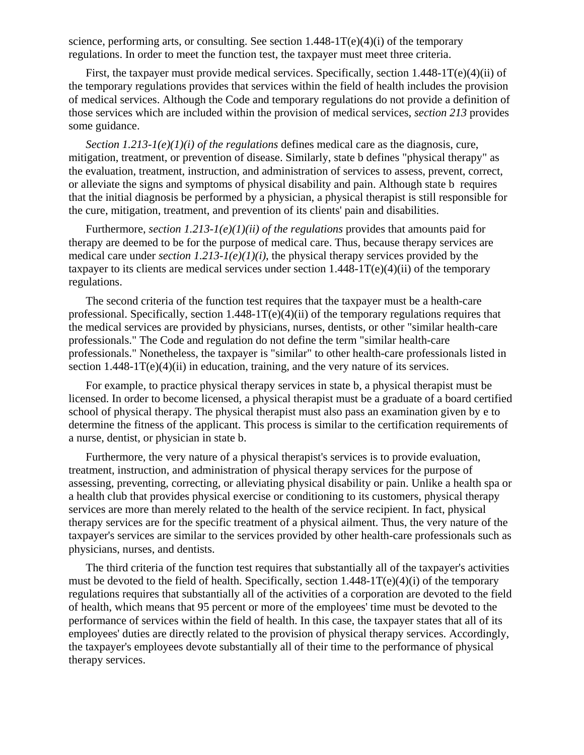science, performing arts, or consulting. See section  $1.448 \cdot 1 \cdot T(e)(4)(i)$  of the temporary regulations. In order to meet the function test, the taxpayer must meet three criteria.

First, the taxpayer must provide medical services. Specifically, section 1.448-1T(e)(4)(ii) of the temporary regulations provides that services within the field of health includes the provision of medical services. Although the Code and temporary regulations do not provide a definition of those services which are included within the provision of medical services, *section 213* provides some guidance.

*Section 1.213-1(e)(1)(i) of the regulations* defines medical care as the diagnosis, cure, mitigation, treatment, or prevention of disease. Similarly, state b defines "physical therapy" as the evaluation, treatment, instruction, and administration of services to assess, prevent, correct, or alleviate the signs and symptoms of physical disability and pain. Although state b requires that the initial diagnosis be performed by a physician, a physical therapist is still responsible for the cure, mitigation, treatment, and prevention of its clients' pain and disabilities.

Furthermore, *section 1.213-1(e)(1)(ii) of the regulations* provides that amounts paid for therapy are deemed to be for the purpose of medical care. Thus, because therapy services are medical care under *section 1.213-1(e)(1)(i)*, the physical therapy services provided by the taxpayer to its clients are medical services under section  $1.448-1T(e)(4)(ii)$  of the temporary regulations.

The second criteria of the function test requires that the taxpayer must be a health-care professional. Specifically, section 1.448-1T(e)(4)(ii) of the temporary regulations requires that the medical services are provided by physicians, nurses, dentists, or other "similar health-care professionals." The Code and regulation do not define the term "similar health-care professionals." Nonetheless, the taxpayer is "similar" to other health-care professionals listed in section  $1.448 \cdot 1 \text{T}(e)(4)(ii)$  in education, training, and the very nature of its services.

For example, to practice physical therapy services in state b, a physical therapist must be licensed. In order to become licensed, a physical therapist must be a graduate of a board certified school of physical therapy. The physical therapist must also pass an examination given by e to determine the fitness of the applicant. This process is similar to the certification requirements of a nurse, dentist, or physician in state b.

Furthermore, the very nature of a physical therapist's services is to provide evaluation, treatment, instruction, and administration of physical therapy services for the purpose of assessing, preventing, correcting, or alleviating physical disability or pain. Unlike a health spa or a health club that provides physical exercise or conditioning to its customers, physical therapy services are more than merely related to the health of the service recipient. In fact, physical therapy services are for the specific treatment of a physical ailment. Thus, the very nature of the taxpayer's services are similar to the services provided by other health-care professionals such as physicians, nurses, and dentists.

The third criteria of the function test requires that substantially all of the taxpayer's activities must be devoted to the field of health. Specifically, section  $1.448 \text{-} 1 \text{T}(e)(4)(i)$  of the temporary regulations requires that substantially all of the activities of a corporation are devoted to the field of health, which means that 95 percent or more of the employees' time must be devoted to the performance of services within the field of health. In this case, the taxpayer states that all of its employees' duties are directly related to the provision of physical therapy services. Accordingly, the taxpayer's employees devote substantially all of their time to the performance of physical therapy services.